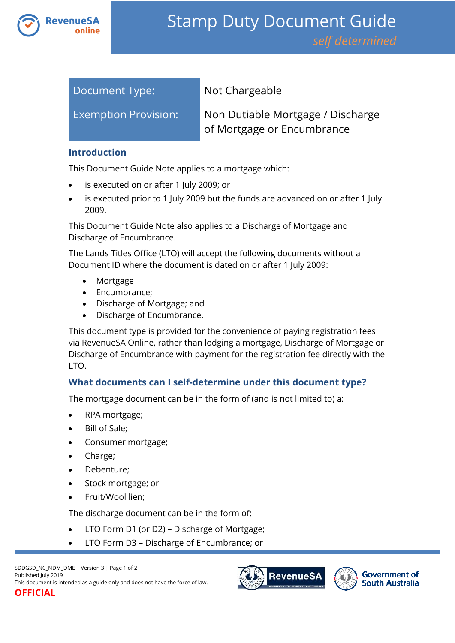

| Document Type:              | Not Chargeable                                                  |
|-----------------------------|-----------------------------------------------------------------|
| <b>Exemption Provision:</b> | Non Dutiable Mortgage / Discharge<br>of Mortgage or Encumbrance |

### **Introduction**

This Document Guide Note applies to a mortgage which:

- is executed on or after 1 July 2009; or
- is executed prior to 1 July 2009 but the funds are advanced on or after 1 July 2009.

This Document Guide Note also applies to a Discharge of Mortgage and Discharge of Encumbrance.

The Lands Titles Office (LTO) will accept the following documents without a Document ID where the document is dated on or after 1 July 2009:

- Mortgage
- Encumbrance;
- Discharge of Mortgage; and
- Discharge of Encumbrance.

This document type is provided for the convenience of paying registration fees via RevenueSA Online, rather than lodging a mortgage, Discharge of Mortgage or Discharge of Encumbrance with payment for the registration fee directly with the LTO.

## **What documents can I self-determine under this document type?**

The mortgage document can be in the form of (and is not limited to) a:

- RPA mortgage;
- Bill of Sale;
- Consumer mortgage;
- Charge;
- Debenture;
- Stock mortgage; or
- Fruit/Wool lien;

The discharge document can be in the form of:

- LTO Form D1 (or D2) Discharge of Mortgage;
- LTO Form D3 Discharge of Encumbrance; or